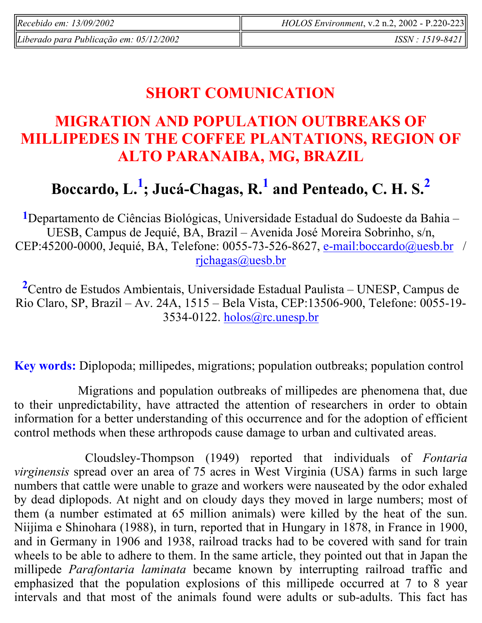| Recebido em: $13/09/2002$               | $HOLOS$ Environment, v.2 n.2, 2002 - P.220-223 |
|-----------------------------------------|------------------------------------------------|
| Liberado para Publicação em: 05/12/2002 | <i>ISSN : 1519-8421</i>                        |

## **SHORT COMUNICATION**

### **MIGRATION AND POPULATION OUTBREAKS OF MILLIPEDES IN THE COFFEE PLANTATIONS, REGION OF ALTO PARANAIBA, MG, BRAZIL**

# **Boccardo, L.<sup>1</sup> ; Jucá-Chagas, R.<sup>1</sup> and Penteado, C. H. S.<sup>2</sup>**

**1**Departamento de Ciências Biológicas, Universidade Estadual do Sudoeste da Bahia – UESB, Campus de Jequié, BA, Brazil – Avenida José Moreira Sobrinho, s/n, CEP:45200-0000, Jequié, BA, Telefone: 0055-73-526-8627, e-mail:boccardo@uesb.br / rjchagas@uesb.br

**<sup>2</sup>**Centro de Estudos Ambientais, Universidade Estadual Paulista – UNESP, Campus de Rio Claro, SP, Brazil – Av. 24A, 1515 – Bela Vista, CEP:13506-900, Telefone: 0055-19- 3534-0122. holos@rc.unesp.br

**Key words:** Diplopoda; millipedes, migrations; population outbreaks; population control

 Migrations and population outbreaks of millipedes are phenomena that, due to their unpredictability, have attracted the attention of researchers in order to obtain information for a better understanding of this occurrence and for the adoption of efficient control methods when these arthropods cause damage to urban and cultivated areas.

 Cloudsley-Thompson (1949) reported that individuals of *Fontaria virginensis* spread over an area of 75 acres in West Virginia (USA) farms in such large numbers that cattle were unable to graze and workers were nauseated by the odor exhaled by dead diplopods. At night and on cloudy days they moved in large numbers; most of them (a number estimated at 65 million animals) were killed by the heat of the sun. Niijima e Shinohara (1988), in turn, reported that in Hungary in 1878, in France in 1900, and in Germany in 1906 and 1938, railroad tracks had to be covered with sand for train wheels to be able to adhere to them. In the same article, they pointed out that in Japan the millipede *Parafontaria laminata* became known by interrupting railroad traffic and emphasized that the population explosions of this millipede occurred at 7 to 8 year intervals and that most of the animals found were adults or sub-adults. This fact has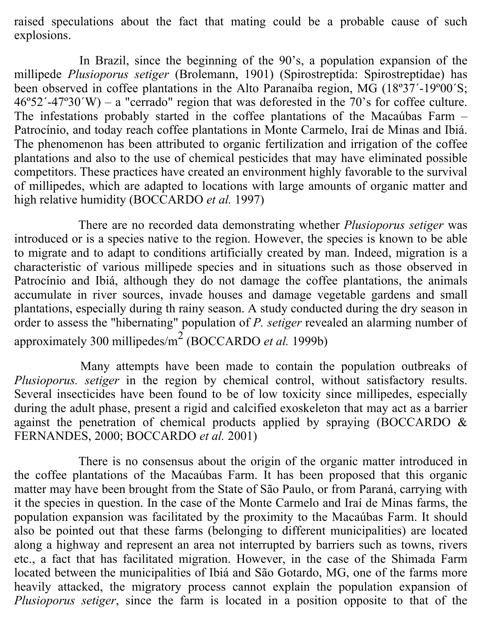raised speculations about the fact that mating could be a probable cause of such explosions.

 In Brazil, since the beginning of the 90's, a population expansion of the millipede *Plusioporus setiger* (Brolemann, 1901) (Spirostreptida: Spirostreptidae) has been observed in coffee plantations in the Alto Paranaíba region, MG (18º37´-19º00´S;  $46^{\circ}52'$ -47°30′W) – a "cerrado" region that was deforested in the 70's for coffee culture. The infestations probably started in the coffee plantations of the Macaúbas Farm – Patrocínio, and today reach coffee plantations in Monte Carmelo, Iraí de Minas and Ibiá. The phenomenon has been attributed to organic fertilization and irrigation of the coffee plantations and also to the use of chemical pesticides that may have eliminated possible competitors. These practices have created an environment highly favorable to the survival of millipedes, which are adapted to locations with large amounts of organic matter and high relative humidity (BOCCARDO *et al.* 1997)

 There are no recorded data demonstrating whether *Plusioporus setiger* was introduced or is a species native to the region. However, the species is known to be able to migrate and to adapt to conditions artificially created by man. Indeed, migration is a characteristic of various millipede species and in situations such as those observed in Patrocínio and Ibiá, although they do not damage the coffee plantations, the animals accumulate in river sources, invade houses and damage vegetable gardens and small plantations, especially during th rainy season. A study conducted during the dry season in order to assess the "hibernating" population of *P. setiger* revealed an alarming number of approximately 300 millipedes/m<sup>2</sup> (BOCCARDO *et al.* 1999b)

 Many attempts have been made to contain the population outbreaks of *Plusioporus. setiger* in the region by chemical control, without satisfactory results. Several insecticides have been found to be of low toxicity since millipedes, especially during the adult phase, present a rigid and calcified exoskeleton that may act as a barrier against the penetration of chemical products applied by spraying (BOCCARDO & FERNANDES, 2000; BOCCARDO *et al.* 2001)

 There is no consensus about the origin of the organic matter introduced in the coffee plantations of the Macaúbas Farm. It has been proposed that this organic matter may have been brought from the State of São Paulo, or from Paraná, carrying with it the species in question. In the case of the Monte Carmelo and Iraí de Minas farms, the population expansion was facilitated by the proximity to the Macaúbas Farm. It should also be pointed out that these farms (belonging to different municipalities) are located along a highway and represent an area not interrupted by barriers such as towns, rivers etc., a fact that has facilitated migration. However, in the case of the Shimada Farm located between the municipalities of Ibiá and São Gotardo, MG, one of the farms more heavily attacked, the migratory process cannot explain the population expansion of *Plusioporus setiger*, since the farm is located in a position opposite to that of the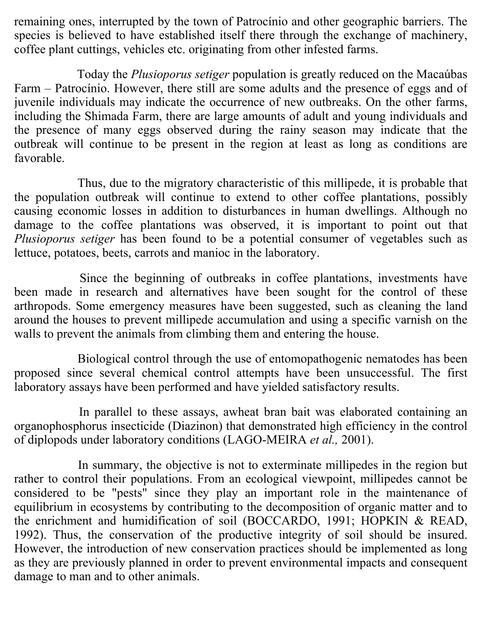remaining ones, interrupted by the town of Patrocínio and other geographic barriers. The species is believed to have established itself there through the exchange of machinery, coffee plant cuttings, vehicles etc. originating from other infested farms.

 Today the *Plusioporus setiger* population is greatly reduced on the Macaúbas Farm – Patrocínio. However, there still are some adults and the presence of eggs and of juvenile individuals may indicate the occurrence of new outbreaks. On the other farms, including the Shimada Farm, there are large amounts of adult and young individuals and the presence of many eggs observed during the rainy season may indicate that the outbreak will continue to be present in the region at least as long as conditions are favorable.

 Thus, due to the migratory characteristic of this millipede, it is probable that the population outbreak will continue to extend to other coffee plantations, possibly causing economic losses in addition to disturbances in human dwellings. Although no damage to the coffee plantations was observed, it is important to point out that *Plusioporus setiger* has been found to be a potential consumer of vegetables such as lettuce, potatoes, beets, carrots and manioc in the laboratory.

 Since the beginning of outbreaks in coffee plantations, investments have been made in research and alternatives have been sought for the control of these arthropods. Some emergency measures have been suggested, such as cleaning the land around the houses to prevent millipede accumulation and using a specific varnish on the walls to prevent the animals from climbing them and entering the house.

 Biological control through the use of entomopathogenic nematodes has been proposed since several chemical control attempts have been unsuccessful. The first laboratory assays have been performed and have yielded satisfactory results.

 In parallel to these assays, awheat bran bait was elaborated containing an organophosphorus insecticide (Diazinon) that demonstrated high efficiency in the control of diplopods under laboratory conditions (LAGO-MEIRA *et al.,* 2001).

 In summary, the objective is not to exterminate millipedes in the region but rather to control their populations. From an ecological viewpoint, millipedes cannot be considered to be "pests" since they play an important role in the maintenance of equilibrium in ecosystems by contributing to the decomposition of organic matter and to the enrichment and humidification of soil (BOCCARDO, 1991; HOPKIN & READ, 1992). Thus, the conservation of the productive integrity of soil should be insured. However, the introduction of new conservation practices should be implemented as long as they are previously planned in order to prevent environmental impacts and consequent damage to man and to other animals.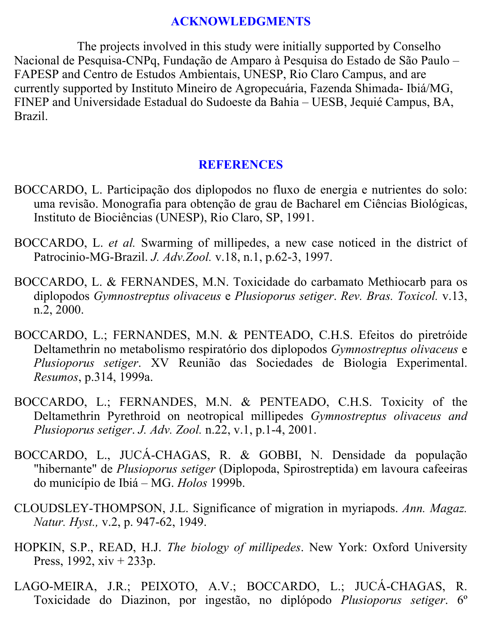### **ACKNOWLEDGMENTS**

 The projects involved in this study were initially supported by Conselho Nacional de Pesquisa-CNPq, Fundação de Amparo à Pesquisa do Estado de São Paulo – FAPESP and Centro de Estudos Ambientais, UNESP, Rio Claro Campus, and are currently supported by Instituto Mineiro de Agropecuária, Fazenda Shimada- Ibiá/MG, FINEP and Universidade Estadual do Sudoeste da Bahia – UESB, Jequié Campus, BA, Brazil.

### **REFERENCES**

- BOCCARDO, L. Participação dos diplopodos no fluxo de energia e nutrientes do solo: uma revisão. Monografia para obtenção de grau de Bacharel em Ciências Biológicas, Instituto de Biociências (UNESP), Rio Claro, SP, 1991.
- BOCCARDO, L. *et al.* Swarming of millipedes, a new case noticed in the district of Patrocinio-MG-Brazil. *J. Adv.Zool.* v.18, n.1, p.62-3, 1997.
- BOCCARDO, L. & FERNANDES, M.N. Toxicidade do carbamato Methiocarb para os diplopodos *Gymnostreptus olivaceus* e *Plusioporus setiger*. *Rev. Bras. Toxicol.* v.13, n.2, 2000.
- BOCCARDO, L.; FERNANDES, M.N. & PENTEADO, C.H.S. Efeitos do piretróide Deltamethrin no metabolismo respiratório dos diplopodos *Gymnostreptus olivaceus* e *Plusioporus setiger*. XV Reunião das Sociedades de Biologia Experimental. *Resumos*, p.314, 1999a.
- BOCCARDO, L.; FERNANDES, M.N. & PENTEADO, C.H.S. Toxicity of the Deltamethrin Pyrethroid on neotropical millipedes *Gymnostreptus olivaceus and Plusioporus setiger*. *J. Adv. Zool.* n.22, v.1, p.1-4, 2001.
- BOCCARDO, L., JUCÁ-CHAGAS, R. & GOBBI, N. Densidade da população "hibernante" de *Plusioporus setiger* (Diplopoda, Spirostreptida) em lavoura cafeeiras do município de Ibiá – MG. *Holos* 1999b.
- CLOUDSLEY-THOMPSON, J.L. Significance of migration in myriapods. *Ann. Magaz. Natur. Hyst.,* v.2, p. 947-62, 1949.
- HOPKIN, S.P., READ, H.J. *The biology of millipedes*. New York: Oxford University Press, 1992,  $xiv + 233p$ .
- LAGO-MEIRA, J.R.; PEIXOTO, A.V.; BOCCARDO, L.; JUCÁ-CHAGAS, R. Toxicidade do Diazinon, por ingestão, no diplópodo *Plusioporus setiger*. 6º